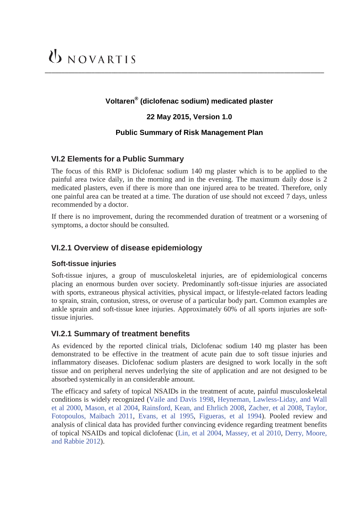### **Voltaren® (diclofenac sodium) medicated plaster**

\_\_\_\_\_\_\_\_\_\_\_\_\_\_\_\_\_\_\_\_\_\_\_\_\_\_\_\_\_\_\_\_\_\_\_\_\_\_\_\_\_\_\_\_\_\_\_\_\_\_\_\_\_\_\_\_\_\_\_\_\_\_\_\_\_\_\_\_\_\_\_\_\_\_\_\_\_\_\_\_\_\_\_\_

#### **22 May 2015, Version 1.0**

#### **Public Summary of Risk Management Plan**

#### **VI.2 Elements for a Public Summary**

The focus of this RMP is Diclofenac sodium 140 mg plaster which is to be applied to the painful area twice daily, in the morning and in the evening. The maximum daily dose is 2 medicated plasters, even if there is more than one injured area to be treated. Therefore, only one painful area can be treated at a time. The duration of use should not exceed 7 days, unless recommended by a doctor.

If there is no improvement, during the recommended duration of treatment or a worsening of symptoms, a doctor should be consulted.

#### **VI.2.1 Overview of disease epidemiology**

#### **Soft-tissue injuries**

Soft-tissue injures, a group of musculoskeletal injuries, are of epidemiological concerns placing an enormous burden over society. Predominantly soft-tissue injuries are associated with sports, extraneous physical activities, physical impact, or lifestyle-related factors leading to sprain, strain, contusion, stress, or overuse of a particular body part. Common examples are ankle sprain and soft-tissue knee injuries. Approximately 60% of all sports injuries are softtissue injuries.

#### **VI.2.1 Summary of treatment benefits**

As evidenced by the reported clinical trials, Diclofenac sodium 140 mg plaster has been demonstrated to be effective in the treatment of acute pain due to soft tissue injuries and inflammatory diseases. Diclofenac sodium plasters are designed to work locally in the soft tissue and on peripheral nerves underlying the site of application and are not designed to be absorbed systemically in an considerable amount.

The efficacy and safety of topical NSAIDs in the treatment of acute, painful musculoskeletal conditions is widely recognized (Vaile and Davis 1998, Heyneman, Lawless-Liday, and Wall et al 2000, Mason, et al 2004, Rainsford, Kean, and Ehrlich 2008, Zacher, et al 2008, Taylor, Fotopoulos, Maibach 2011, Evans, et al 1995, Figueras, et al 1994). Pooled review and analysis of clinical data has provided further convincing evidence regarding treatment benefits of topical NSAIDs and topical diclofenac (Lin, et al 2004, Massey, et al 2010, Derry, Moore, and Rabbie 2012).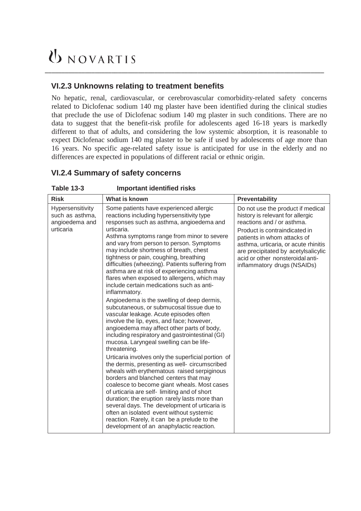# UNOVARTIS

### **VI.2.3 Unknowns relating to treatment benefits**

No hepatic, renal, cardiovascular, or cerebrovascular comorbidity-related safety concerns related to Diclofenac sodium 140 mg plaster have been identified during the clinical studies that preclude the use of Diclofenac sodium 140 mg plaster in such conditions. There are no data to suggest that the benefit-risk profile for adolescents aged 16-18 years is markedly different to that of adults, and considering the low systemic absorption, it is reasonable to expect Diclofenac sodium 140 mg plaster to be safe if used by adolescents of age more than 16 years. No specific age-related safety issue is anticipated for use in the elderly and no differences are expected in populations of different racial or ethnic origin.

\_\_\_\_\_\_\_\_\_\_\_\_\_\_\_\_\_\_\_\_\_\_\_\_\_\_\_\_\_\_\_\_\_\_\_\_\_\_\_\_\_\_\_\_\_\_\_\_\_\_\_\_\_\_\_\_\_\_\_\_\_\_\_\_\_\_\_\_\_\_\_\_\_\_\_\_\_\_\_\_\_\_\_\_

### **VI.2.4 Summary of safety concerns**

| יטו טושו                                                           | portant rachtinca norto                                                                                                                                                                                                                                                                                                                                                                                                                                                                                                                                                                                                                                                                                                                                                                                                                                                                                                                                                                                                                                                                                                                                                                                                                                                                                                                                                                                                         |                                                                                                                                                                                                                                                                                                                       |
|--------------------------------------------------------------------|---------------------------------------------------------------------------------------------------------------------------------------------------------------------------------------------------------------------------------------------------------------------------------------------------------------------------------------------------------------------------------------------------------------------------------------------------------------------------------------------------------------------------------------------------------------------------------------------------------------------------------------------------------------------------------------------------------------------------------------------------------------------------------------------------------------------------------------------------------------------------------------------------------------------------------------------------------------------------------------------------------------------------------------------------------------------------------------------------------------------------------------------------------------------------------------------------------------------------------------------------------------------------------------------------------------------------------------------------------------------------------------------------------------------------------|-----------------------------------------------------------------------------------------------------------------------------------------------------------------------------------------------------------------------------------------------------------------------------------------------------------------------|
| <b>Risk</b>                                                        | What is known                                                                                                                                                                                                                                                                                                                                                                                                                                                                                                                                                                                                                                                                                                                                                                                                                                                                                                                                                                                                                                                                                                                                                                                                                                                                                                                                                                                                                   | Preventability                                                                                                                                                                                                                                                                                                        |
| Hypersensitivity<br>such as asthma,<br>angioedema and<br>urticaria | Some patients have experienced allergic<br>reactions including hypersensitivity type<br>responses such as asthma, angioedema and<br>urticaria.<br>Asthma symptoms range from minor to severe<br>and vary from person to person. Symptoms<br>may include shortness of breath, chest<br>tightness or pain, coughing, breathing<br>difficulties (wheezing). Patients suffering from<br>asthma are at risk of experiencing asthma<br>flares when exposed to allergens, which may<br>include certain medications such as anti-<br>inflammatory.<br>Angioedema is the swelling of deep dermis,<br>subcutaneous, or submucosal tissue due to<br>vascular leakage. Acute episodes often<br>involve the lip, eyes, and face; however,<br>angioedema may affect other parts of body,<br>including respiratory and gastrointestinal (GI)<br>mucosa. Laryngeal swelling can be life-<br>threatening.<br>Urticaria involves only the superficial portion of<br>the dermis, presenting as well- circumscribed<br>wheals with erythematous raised serpiginous<br>borders and blanched centers that may<br>coalesce to become giant wheals. Most cases<br>of urticaria are self-limiting and of short<br>duration; the eruption rarely lasts more than<br>several days. The development of urticaria is<br>often an isolated event without systemic<br>reaction. Rarely, it can be a prelude to the<br>development of an anaphylactic reaction. | Do not use the product if medical<br>history is relevant for allergic<br>reactions and / or asthma.<br>Product is contraindicated in<br>patients in whom attacks of<br>asthma, urticaria, or acute rhinitis<br>are precipitated by acetylsalicylic<br>acid or other nonsteroidal anti-<br>inflammatory drugs (NSAIDs) |

**Table 13-3 Important identified risks**